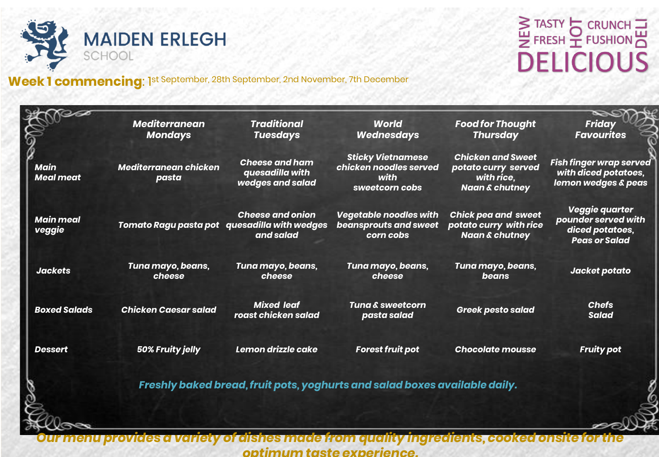

### Week 1 commencing: 1st September, 28th September, 2nd November, 7th December

S TASTY<br>
E FRESH <u>T</u> FUSHION **DELICIOUS** 

|                                 | <b>Mediterranean</b><br><b>Mondays</b> | <b>Traditional</b><br><b>Tuesdays</b>                                                | <b>World</b><br><b>Wednesdays</b>                                            | <b>Food for Thought</b><br><b>Thursday</b>                                                 | <b>Friday</b><br><b>Favourites</b>                                                       |
|---------------------------------|----------------------------------------|--------------------------------------------------------------------------------------|------------------------------------------------------------------------------|--------------------------------------------------------------------------------------------|------------------------------------------------------------------------------------------|
| <b>Main</b><br><b>Meal meat</b> | Mediterranean chicken<br>pasta         | <b>Cheese and ham</b><br>quesadilla with<br>wedges and salad                         | <b>Sticky Vietnamese</b><br>chicken noodles served<br>with<br>sweetcorn cobs | <b>Chicken and Sweet</b><br>potato curry served<br>with rice.<br><b>Naan &amp; chutney</b> | <b>Fish finger wrap served</b><br>with diced potatoes,<br><b>lemon wedges &amp; peas</b> |
| <b>Main meal</b><br>veggie      |                                        | <b>Cheese and onion</b><br>Tomato Ragu pasta pot quesadilla with wedges<br>and salad | <b>Vegetable noodles with</b><br><b>beansprouts and sweet</b><br>corn cobs   | <b>Chick pea and sweet</b><br>potato curry with rice<br><b>Naan &amp; chutney</b>          | Veggie quarter<br>pounder served with<br>diced potatoes,<br><b>Peas or Salad</b>         |
| <b>Jackets</b>                  | Tuna mayo, beans,<br>cheese            | Tuna mayo, beans,<br>cheese                                                          | Tuna mayo, beans,<br>cheese                                                  | Tuna mayo, beans,<br>beans                                                                 | Jacket potato                                                                            |
| <b>Boxed Salads</b>             | <b>Chicken Caesar salad</b>            | <b>Mixed leaf</b><br>roast chicken salad                                             | <b>Tuna &amp; sweetcorn</b><br>pasta salad                                   | <b>Greek pesto salad</b>                                                                   | <b>Chefs</b><br><b>Salad</b>                                                             |
| <b>Dessert</b>                  | 50% Fruity jelly                       | Lemon drizzle cake                                                                   | <b>Forest fruit pot</b>                                                      | <b>Chocolate mousse</b>                                                                    | <b>Fruity pot</b>                                                                        |
|                                 |                                        |                                                                                      | Freshly baked bread, fruit pots, yoghurts and salad boxes available daily.   |                                                                                            |                                                                                          |
|                                 |                                        |                                                                                      |                                                                              |                                                                                            |                                                                                          |

Our menu provides a variety of dishes made from quality ingredients, cooked onsite for the *optimum taste experience.*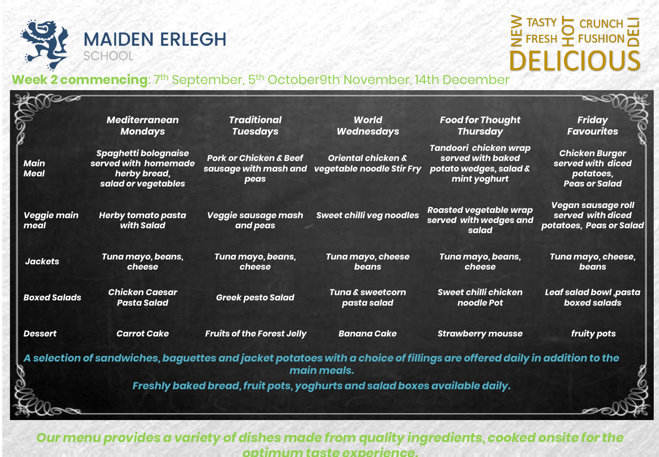

## S TASTY CRUNCH **DELICIOUS**

#### **Week 2 commencing**: 7th September, 5th October9th November, 14th December

|                            | <b>Mediterranean</b><br><b>Mondays</b>                                                     | <b>Traditional</b><br><b>Tuesdays</b>                                      | <b>World</b><br><b>Wednesdays</b>                          | <b>Food for Thought</b><br><b>Thursday</b>                                                                              | <b>Friday</b><br><b>Favourites</b>                                              |
|----------------------------|--------------------------------------------------------------------------------------------|----------------------------------------------------------------------------|------------------------------------------------------------|-------------------------------------------------------------------------------------------------------------------------|---------------------------------------------------------------------------------|
| <b>Main</b><br><b>Meal</b> | <b>Spaghetti bolognaise</b><br>served with homemade<br>herby bread,<br>salad or vegetables | <b>Pork or Chicken &amp; Beef</b><br>sausage with mash and<br>peas         | <b>Oriental chicken &amp;</b><br>vegetable noodle Stir Fry | Tandoori chicken wrap<br>served with baked<br>potato wedges, salad &<br>mint yoghurt                                    | <b>Chicken Burger</b><br>served with diced<br>potatoes,<br><b>Peas or Salad</b> |
| Veggie main<br>meal        | <b>Herby tomato pasta</b><br>with Salad                                                    | Veggie sausage mash<br>and peas                                            | <b>Sweet chilli veg noodles</b>                            | <b>Roasted vegetable wrap</b><br>served with wedges and<br>salad                                                        | <b>Vegan sausage roll</b><br>served with diced<br>potatoes, Peas or Salad       |
| <b>Jackets</b>             | Tuna mayo, beans,<br>cheese                                                                | Tuna mayo, beans,<br>cheese                                                | Tuna mayo, cheese<br>beans                                 | Tuna mayo, beans,<br>cheese                                                                                             | Tuna mayo, cheese,<br>beans                                                     |
| <b>Boxed Salads</b>        | <b>Chicken Caesar</b><br><b>Pasta Salad</b>                                                | <b>Greek pesto Salad</b>                                                   | Tuna & sweetcorn<br>pasta salad                            | Sweet chilli chicken<br>noodle Pot                                                                                      | Leaf salad bowl ,pasta<br>boxed salads                                          |
| <b>Dessert</b>             | <b>Carrot Cake</b>                                                                         | <b>Fruits of the Forest Jelly</b>                                          | <b>Banana Cake</b>                                         | <b>Strawberry mousse</b>                                                                                                | fruity pots                                                                     |
|                            |                                                                                            |                                                                            | main meals.                                                | A selection of sandwiches, baguettes and jacket potatoes with a choice of fillings are offered daily in addition to the |                                                                                 |
|                            |                                                                                            | Freshly baked bread, fruit pots, yoghurts and salad boxes available daily. |                                                            |                                                                                                                         |                                                                                 |
|                            |                                                                                            |                                                                            |                                                            |                                                                                                                         |                                                                                 |

*Our menu provides a variety of dishes made from quality ingredients, cooked onsite for the optimum taste experience.*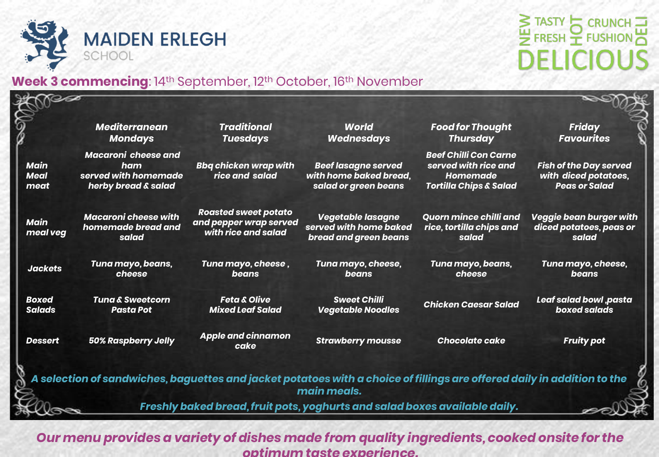

### STASTY CRUNCH **DELICIOUS**

### **Week 3 commencing**: 14<sup>th</sup> September, 12<sup>th</sup> October, 16<sup>th</sup> November

|                                    | <b>Mediterranean</b><br><b>Mondays</b>                                           | <b>Traditional</b><br><b>Tuesdays</b>                                        | <b>World</b><br><b>Wednesdays</b>                                                                                                      | <b>Food for Thought</b><br><b>Thursday</b>                                                            | <b>Friday</b><br><b>Favourites</b>                                            |
|------------------------------------|----------------------------------------------------------------------------------|------------------------------------------------------------------------------|----------------------------------------------------------------------------------------------------------------------------------------|-------------------------------------------------------------------------------------------------------|-------------------------------------------------------------------------------|
| <b>Main</b><br><b>Meal</b><br>meat | <b>Macaroni cheese and</b><br>ham<br>served with homemade<br>herby bread & salad | <b>Bbq chicken wrap with</b><br>rice and salad                               | <b>Beef lasagne served</b><br>with home baked bread,<br>salad or green beans                                                           | <b>Beef Chilli Con Carne</b><br>served with rice and<br>Homemade<br><b>Tortilla Chips &amp; Salad</b> | <b>Fish of the Day served</b><br>with diced potatoes,<br><b>Peas or Salad</b> |
| <b>Main</b><br>meal veg            | <b>Macaroni cheese with</b><br>homemade bread and<br>salad                       | <b>Roasted sweet potato</b><br>and pepper wrap served<br>with rice and salad | Vegetable lasagne<br>served with home baked<br>bread and green beans                                                                   | <b>Quorn mince chilli and</b><br>rice, tortilla chips and<br>salad                                    | Veggie bean burger with<br>diced potatoes, peas or<br>salad                   |
| <b>Jackets</b>                     | Tuna mayo, beans,<br>cheese                                                      | Tuna mayo, cheese,<br>beans                                                  | Tuna mayo, cheese,<br>beans                                                                                                            | Tuna mayo, beans,<br>cheese                                                                           | Tuna mayo, cheese,<br><b>beans</b>                                            |
| <b>Boxed</b><br><b>Salads</b>      | <b>Tuna &amp; Sweetcorn</b><br><b>Pasta Pot</b>                                  | <b>Feta &amp; Olive</b><br><b>Mixed Leaf Salad</b>                           | <b>Sweet Chilli</b><br><b>Vegetable Noodles</b>                                                                                        | <b>Chicken Caesar Salad</b>                                                                           | Leaf salad bowl ,pasta<br>boxed salads                                        |
| <b>Dessert</b>                     | <b>50% Raspberry Jelly</b>                                                       | <b>Apple and cinnamon</b><br>cake                                            | <b>Strawberry mousse</b>                                                                                                               | <b>Chocolate cake</b>                                                                                 | <b>Fruity pot</b>                                                             |
|                                    |                                                                                  |                                                                              | A selection of sandwiches, baguettes and jacket potatoes with a choice of fillings are offered daily in addition to the<br>main meals. |                                                                                                       |                                                                               |

*Our menu provides a variety of dishes made from quality ingredients, cooked onsite for the optimum taste experience.*